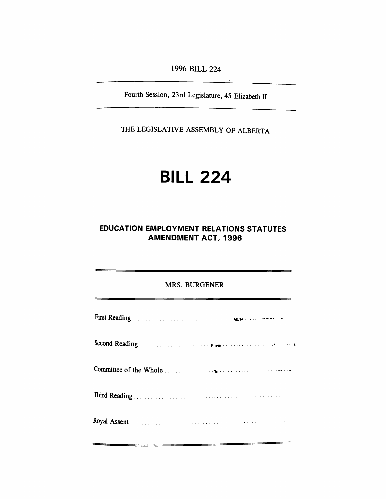*1996 BILL 224*

*Fourth Session, 23rd Legislature, 45 Elizabeth II*

*THE LEGISLATIVE ASSEMBLY OF ALBERTA*

# *BILL 224*

## *EDUCATION EMPLOYMENT RELATIONS STATUTES AMENDMENT ACT, 1996*

## *MRS. BURGENER*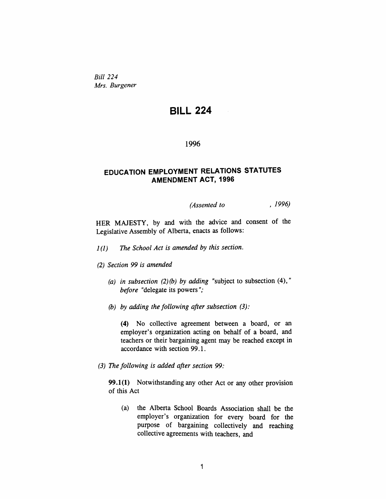*Bill 224 Mrs. Burgener*

## *BILL 224*

#### *1996*

### *EDUCATION EMPLOYMENT RELATIONS STATUTES AMENDMENT ACT, 1996*

*(Assented to , 1996)*

*HER MAJESTY, by and with the advice and consent of the Legislative Assembly of Alberta, enacts as follows:*

- *1(1) The School Act is amended by this section.*
- *(2) Section 99 is amended*
	- *(a) in subsection (2)(b) by adding "subject to subsection (4)," before "delegate its powers";*
	- *(b) by adding the following after subsection (3):*

*(4) No collective agreement between a board, or an employer's organization acting on behalf of a board, and teachers or their bargaining agent may be reached except in accordance with section 99.1.*

*(3) The following is added after section 99:*

*99.1(1) Notwithstanding any other Act or any other provision of this Act*

*(a) the Alberta School Boards Association shall be the employer's organization for every board for the purpose of bargaining collectively and reaching collective agreements with teachers, and*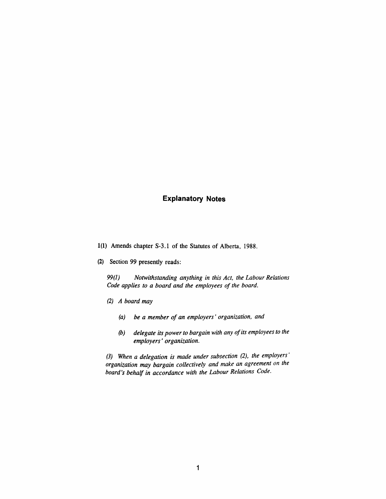#### *Explanatory Notes*

- *1(1) Amends chapter S-3.1 of the Statutes of Alberta, 1988.*
- *(2) Section 99 presently reads:*

*99(1) Notwithstanding anything in this Act, the Labour Relations Code applies to a board and the employees of the board.*

- *(2) A board may*
	- *(a) be a member of an employers ' organization, and*
	- *(b) delegate its power to bargain with any ofits employees to the employers ' organization.*

*(3) When a delegation is made under subsection (2), the employers organization may bargain collectively and make an agreement on the board's behalf in accordance with the Labour Relations Code.*